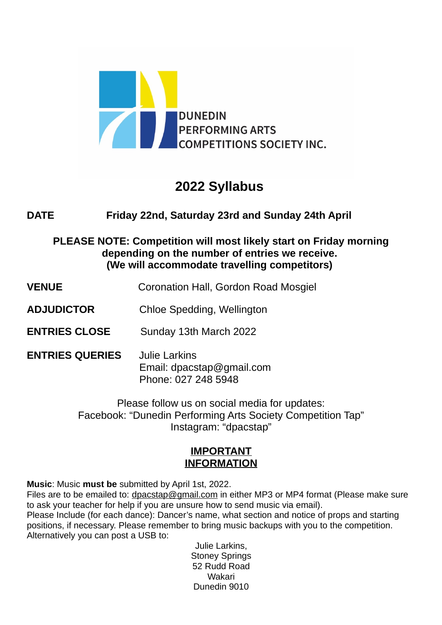

# **2022 Syllabus**

# **DATE Friday 22nd, Saturday 23rd and Sunday 24th April**

**PLEASE NOTE: Competition will most likely start on Friday morning depending on the number of entries we receive. (We will accommodate travelling competitors)** 

- **VENUE** Coronation Hall, Gordon Road Mosgiel
- **ADJUDICTOR** Chloe Spedding, Wellington
- **ENTRIES CLOSE** Sunday 13th March 2022
- **ENTRIES QUERIES** Julie Larkins Email: dpacstap@gmail.com Phone: 027 248 5948

Please follow us on social media for updates: Facebook: "Dunedin Performing Arts Society Competition Tap" Instagram: "dpacstap"

# **IMPORTANT INFORMATION**

**Music**: Music **must be** submitted by April 1st, 2022.

Files are to be emailed to: dpacstap@gmail.com in either MP3 or MP4 format (Please make sure to ask your teacher for help if you are unsure how to send music via email). Please Include (for each dance): Dancer's name, what section and notice of props and starting positions, if necessary. Please remember to bring music backups with you to the competition. Alternatively you can post a USB to:

> Julie Larkins, Stoney Springs 52 Rudd Road Wakari Dunedin 9010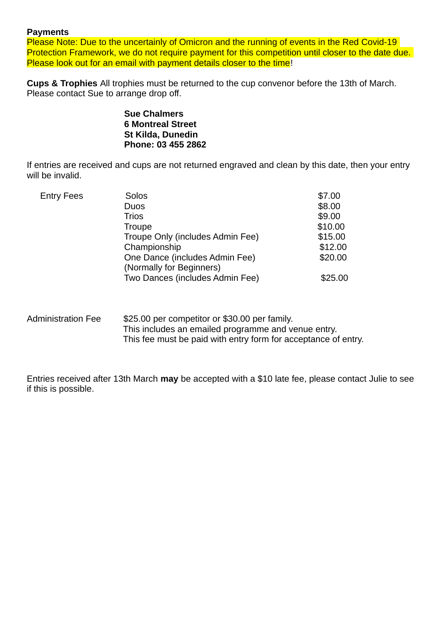#### **Payments**

Please Note: Due to the uncertainly of Omicron and the running of events in the Red Covid-19 Protection Framework, we do not require payment for this competition until closer to the date due. Please look out for an email with payment details closer to the time!

**Cups & Trophies** All trophies must be returned to the cup convenor before the 13th of March. Please contact Sue to arrange drop off.

> **Sue Chalmers 6 Montreal Street St Kilda, Dunedin Phone: 03 455 2862**

If entries are received and cups are not returned engraved and clean by this date, then your entry will be invalid.

| <b>Entry Fees</b> | Solos                            | \$7.00  |
|-------------------|----------------------------------|---------|
|                   | <b>Duos</b>                      | \$8.00  |
|                   | <b>Trios</b>                     | \$9.00  |
|                   | Troupe                           | \$10.00 |
|                   | Troupe Only (includes Admin Fee) | \$15.00 |
|                   | Championship                     | \$12.00 |
|                   | One Dance (includes Admin Fee)   | \$20.00 |
|                   | (Normally for Beginners)         |         |
|                   | Two Dances (includes Admin Fee)  | \$25.00 |
|                   |                                  |         |

#### Administration Fee \$25.00 per competitor or \$30.00 per family. This includes an emailed programme and venue entry. This fee must be paid with entry form for acceptance of entry.

Entries received after 13th March **may** be accepted with a \$10 late fee, please contact Julie to see if this is possible.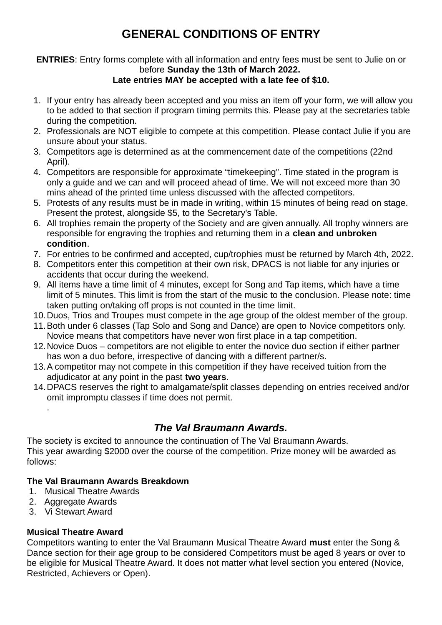# **GENERAL CONDITIONS OF ENTRY**

# **ENTRIES**: Entry forms complete with all information and entry fees must be sent to Julie on or before **Sunday the 13th of March 2022.**

# **Late entries MAY be accepted with a late fee of \$10.**

- 1. If your entry has already been accepted and you miss an item off your form, we will allow you to be added to that section if program timing permits this. Please pay at the secretaries table during the competition.
- 2. Professionals are NOT eligible to compete at this competition. Please contact Julie if you are unsure about your status.
- 3. Competitors age is determined as at the commencement date of the competitions (22nd April).
- 4. Competitors are responsible for approximate "timekeeping". Time stated in the program is only a guide and we can and will proceed ahead of time. We will not exceed more than 30 mins ahead of the printed time unless discussed with the affected competitors.
- 5. Protests of any results must be in made in writing, within 15 minutes of being read on stage. Present the protest, alongside \$5, to the Secretary's Table.
- 6. All trophies remain the property of the Society and are given annually. All trophy winners are responsible for engraving the trophies and returning them in a **clean and unbroken condition**.
- 7. For entries to be confirmed and accepted, cup/trophies must be returned by March 4th, 2022.
- 8. Competitors enter this competition at their own risk, DPACS is not liable for any injuries or accidents that occur during the weekend.
- 9. All items have a time limit of 4 minutes, except for Song and Tap items, which have a time limit of 5 minutes. This limit is from the start of the music to the conclusion. Please note: time taken putting on/taking off props is not counted in the time limit.
- 10.Duos, Trios and Troupes must compete in the age group of the oldest member of the group.
- 11.Both under 6 classes (Tap Solo and Song and Dance) are open to Novice competitors only. Novice means that competitors have never won first place in a tap competition.
- 12.Novice Duos competitors are not eligible to enter the novice duo section if either partner has won a duo before, irrespective of dancing with a different partner/s.
- 13.A competitor may not compete in this competition if they have received tuition from the adjudicator at any point in the past **two years**.
- 14.DPACS reserves the right to amalgamate/split classes depending on entries received and/or omit impromptu classes if time does not permit.

# *The Val Braumann Awards.*

The society is excited to announce the continuation of The Val Braumann Awards. This year awarding \$2000 over the course of the competition. Prize money will be awarded as follows:

# **The Val Braumann Awards Breakdown**

- 1. Musical Theatre Awards
- 2. Aggregate Awards

.

3. Vi Stewart Award

### **Musical Theatre Award**

Competitors wanting to enter the Val Braumann Musical Theatre Award **must** enter the Song & Dance section for their age group to be considered Competitors must be aged 8 years or over to be eligible for Musical Theatre Award. It does not matter what level section you entered (Novice, Restricted, Achievers or Open).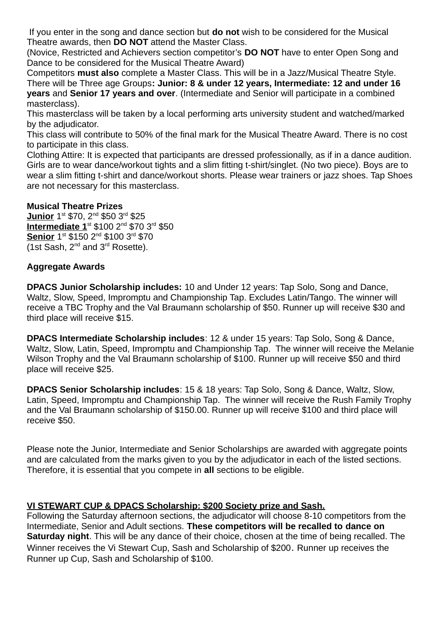If you enter in the song and dance section but **do not** wish to be considered for the Musical Theatre awards, then **DO NOT** attend the Master Class.

(Novice, Restricted and Achievers section competitor's **DO NOT** have to enter Open Song and Dance to be considered for the Musical Theatre Award)

Competitors **must also** complete a Master Class. This will be in a Jazz/Musical Theatre Style. There will be Three age Groups**: Junior: 8 & under 12 years, Intermediate: 12 and under 16 years** and **Senior 17 years and over**. (Intermediate and Senior will participate in a combined masterclass).

This masterclass will be taken by a local performing arts university student and watched/marked by the adjudicator.

This class will contribute to 50% of the final mark for the Musical Theatre Award. There is no cost to participate in this class.

Clothing Attire: It is expected that participants are dressed professionally, as if in a dance audition. Girls are to wear dance/workout tights and a slim fitting t-shirt/singlet. (No two piece). Boys are to wear a slim fitting t-shirt and dance/workout shorts. Please wear trainers or jazz shoes. Tap Shoes are not necessary for this masterclass.

#### **Musical Theatre Prizes**

**Junior** 1st \$70, 2<sup>nd</sup> \$50 3<sup>rd</sup> \$25 **Intermediate 1**st \$100 2nd \$70 3rd \$50 Senior 1<sup>st</sup> \$150 2<sup>nd</sup> \$100 3<sup>rd</sup> \$70 (1st Sash,  $2^{nd}$  and  $3^{rd}$  Rosette).

#### **Aggregate Awards**

**DPACS Junior Scholarship includes:** 10 and Under 12 years: Tap Solo, Song and Dance, Waltz, Slow, Speed, Impromptu and Championship Tap. Excludes Latin/Tango. The winner will receive a TBC Trophy and the Val Braumann scholarship of \$50. Runner up will receive \$30 and third place will receive \$15.

**DPACS Intermediate Scholarship includes**: 12 & under 15 years: Tap Solo, Song & Dance, Waltz, Slow, Latin, Speed, Impromptu and Championship Tap. The winner will receive the Melanie Wilson Trophy and the Val Braumann scholarship of \$100. Runner up will receive \$50 and third place will receive \$25.

**DPACS Senior Scholarship includes**: 15 & 18 years: Tap Solo, Song & Dance, Waltz, Slow, Latin, Speed, Impromptu and Championship Tap. The winner will receive the Rush Family Trophy and the Val Braumann scholarship of \$150.00. Runner up will receive \$100 and third place will receive \$50.

Please note the Junior, Intermediate and Senior Scholarships are awarded with aggregate points and are calculated from the marks given to you by the adjudicator in each of the listed sections. Therefore, it is essential that you compete in **all** sections to be eligible.

### **VI STEWART CUP & DPACS Scholarship: \$200 Society prize and Sash.**

Following the Saturday afternoon sections, the adjudicator will choose 8-10 competitors from the Intermediate, Senior and Adult sections. **These competitors will be recalled to dance on Saturday night**. This will be any dance of their choice, chosen at the time of being recalled. The Winner receives the Vi Stewart Cup, Sash and Scholarship of \$200. Runner up receives the Runner up Cup, Sash and Scholarship of \$100.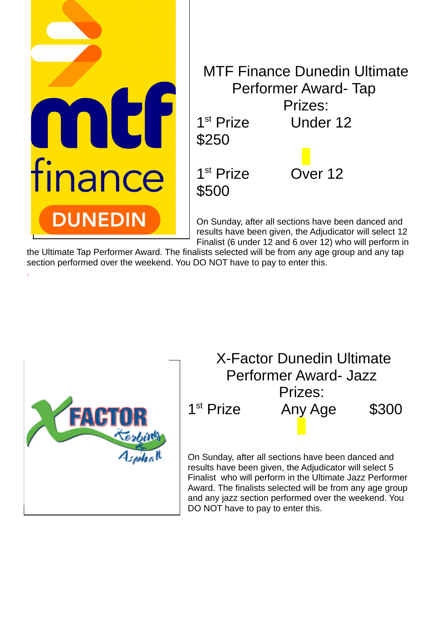

the Ultimate Tap Performer Award. The finalists selected will be from any age group and any tap section performed over the weekend. You DO NOT have to pay to enter this.



.

X-Factor Dunedin Ultimate Performer Award- Jazz Prizes: 1<sup>st</sup> Prize Any Age \$300

On Sunday, after all sections have been danced and results have been given, the Adjudicator will select 5 Finalist who will perform in the Ultimate Jazz Performer Award. The finalists selected will be from any age group and any jazz section performed over the weekend. You DO NOT have to pay to enter this.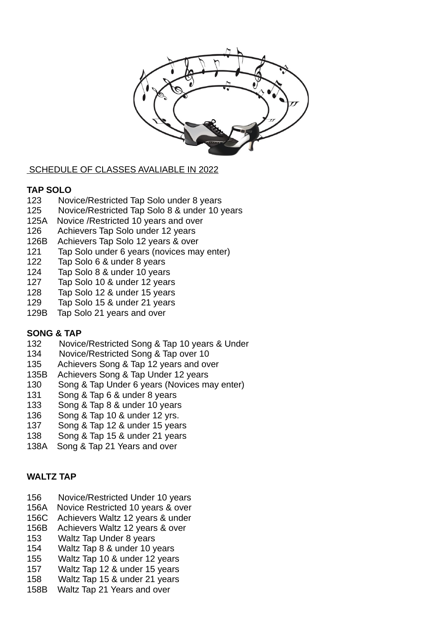

#### SCHEDULE OF CLASSES AVALIABLE IN 2022

#### **TAP SOLO**

- 123 Novice/Restricted Tap Solo under 8 years
- 125 Novice/Restricted Tap Solo 8 & under 10 years
- 125A Novice /Restricted 10 years and over
- 126 Achievers Tap Solo under 12 years
- 126B Achievers Tap Solo 12 years & over
- 121 Tap Solo under 6 years (novices may enter)
- 122 Tap Solo 6 & under 8 years
- 124 Tap Solo 8 & under 10 years
- 127 Tap Solo 10 & under 12 years
- 128 Tap Solo 12 & under 15 years
- 129 Tap Solo 15 & under 21 years
- 129B Tap Solo 21 years and over

#### **SONG & TAP**

- 132 Novice/Restricted Song & Tap 10 years & Under
- 134 Novice/Restricted Song & Tap over 10
- 135 Achievers Song & Tap 12 years and over
- 135B Achievers Song & Tap Under 12 years
- 130 Song & Tap Under 6 years (Novices may enter)
- 131 Song & Tap 6 & under 8 years
- 133 Song & Tap 8 & under 10 years
- 136 Song & Tap 10 & under 12 yrs.
- 137 Song & Tap 12 & under 15 years
- 138 Song & Tap 15 & under 21 years
- 138A Song & Tap 21 Years and over

#### **WALTZ TAP**

- 156 Novice/Restricted Under 10 years
- 156A Novice Restricted 10 years & over
- 156C Achievers Waltz 12 years & under
- 156B Achievers Waltz 12 years & over
- 153 Waltz Tap Under 8 years
- 154 Waltz Tap 8 & under 10 years
- 155 Waltz Tap 10 & under 12 years
- 157 Waltz Tap 12 & under 15 years
- 158 Waltz Tap 15 & under 21 years
- 158B Waltz Tap 21 Years and over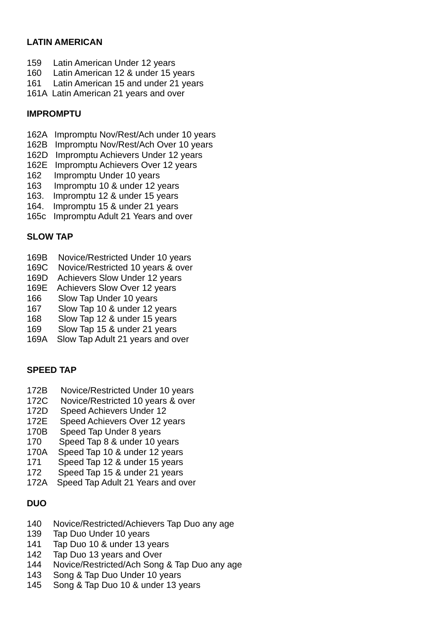### **LATIN AMERICAN**

- 159 Latin American Under 12 years
- 160 Latin American 12 & under 15 years
- 161 Latin American 15 and under 21 years
- 161A Latin American 21 years and over

### **IMPROMPTU**

- 162A Impromptu Nov/Rest/Ach under 10 years
- 162B Impromptu Nov/Rest/Ach Over 10 years
- 162D Impromptu Achievers Under 12 years
- 162E Impromptu Achievers Over 12 years
- 162 Impromptu Under 10 years
- 163 Impromptu 10 & under 12 years
- 163. Impromptu 12 & under 15 years
- 164. Impromptu 15 & under 21 years
- 165c Impromptu Adult 21 Years and over

### **SLOW TAP**

- 169B Novice/Restricted Under 10 years
- 169C Novice/Restricted 10 years & over
- 169D Achievers Slow Under 12 years
- 169E Achievers Slow Over 12 years
- 166 Slow Tap Under 10 years
- 167 Slow Tap 10 & under 12 years
- 168 Slow Tap 12 & under 15 years
- 169 Slow Tap 15 & under 21 years
- 169A Slow Tap Adult 21 years and over

### **SPEED TAP**

- 172B Novice/Restricted Under 10 years
- 172C Novice/Restricted 10 years & over
- 172D Speed Achievers Under 12
- 172E Speed Achievers Over 12 years
- 170B Speed Tap Under 8 years
- 170 Speed Tap 8 & under 10 years
- 170A Speed Tap 10 & under 12 years
- 171 Speed Tap 12 & under 15 years
- 172 Speed Tap 15 & under 21 years
- 172A Speed Tap Adult 21 Years and over

# **DUO**

- 140 Novice/Restricted/Achievers Tap Duo any age
- 139 Tap Duo Under 10 years
- 141 Tap Duo 10 & under 13 years
- 142 Tap Duo 13 years and Over
- 144 Novice/Restricted/Ach Song & Tap Duo any age
- 143 Song & Tap Duo Under 10 years
- 145 Song & Tap Duo 10 & under 13 years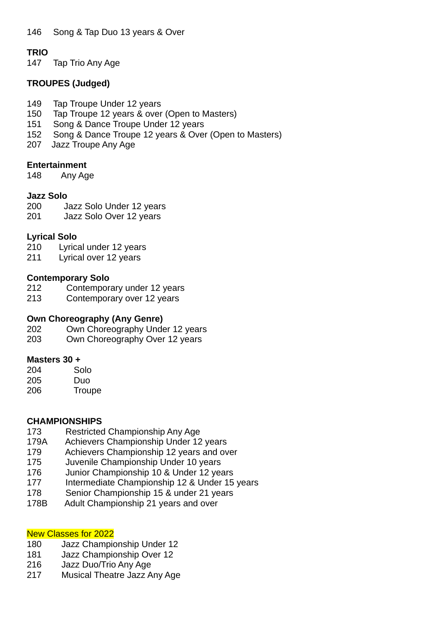## **TRIO**

147 Tap Trio Any Age

### **TROUPES (Judged)**

- 149 Tap Troupe Under 12 years
- 150 Tap Troupe 12 years & over (Open to Masters)
- 151 Song & Dance Troupe Under 12 years
- 152 Song & Dance Troupe 12 years & Over (Open to Masters)
- 207 Jazz Troupe Any Age

### **Entertainment**

148 Any Age

#### **Jazz Solo**

- 200 Jazz Solo Under 12 years
- 201 Jazz Solo Over 12 years

### **Lyrical Solo**

- 210 Lyrical under 12 years
- 211 Lyrical over 12 years

#### **Contemporary Solo**

- 212 Contemporary under 12 years
- 213 Contemporary over 12 years

### **Own Choreography (Any Genre)**

- 202 Own Choreography Under 12 years
- 203 Own Choreography Over 12 years

### **Masters 30 +**

| 204 | Solo   |
|-----|--------|
| 205 | Duo    |
| 206 | Troupe |

### **CHAMPIONSHIPS**

- 173 Restricted Championship Any Age
- 179A Achievers Championship Under 12 years
- 179 Achievers Championship 12 years and over
- 175 Juvenile Championship Under 10 years
- 176 Junior Championship 10 & Under 12 years
- 177 Intermediate Championship 12 & Under 15 years
- 178 Senior Championship 15 & under 21 years
- 178B Adult Championship 21 years and over

# New Classes for 2022

- 180 Jazz Championship Under 12
- 181 Jazz Championship Over 12
- 216 Jazz Duo/Trio Any Age
- 217 Musical Theatre Jazz Any Age